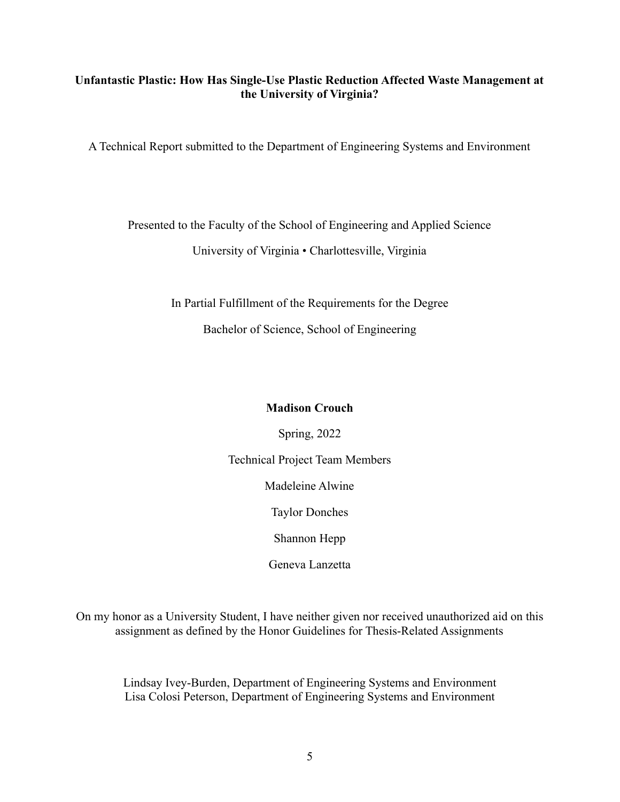# **Unfantastic Plastic: How Has Single-Use Plastic Reduction Affected Waste Management at the University of Virginia?**

A Technical Report submitted to the Department of Engineering Systems and Environment

# Presented to the Faculty of the School of Engineering and Applied Science

University of Virginia • Charlottesville, Virginia

In Partial Fulfillment of the Requirements for the Degree

Bachelor of Science, School of Engineering

# **Madison Crouch**

Spring, 2022 Technical Project Team Members Madeleine Alwine Taylor Donches Shannon Hepp

Geneva Lanzetta

On my honor as a University Student, I have neither given nor received unauthorized aid on this assignment as defined by the Honor Guidelines for Thesis-Related Assignments

Lindsay Ivey-Burden, Department of Engineering Systems and Environment Lisa Colosi Peterson, Department of Engineering Systems and Environment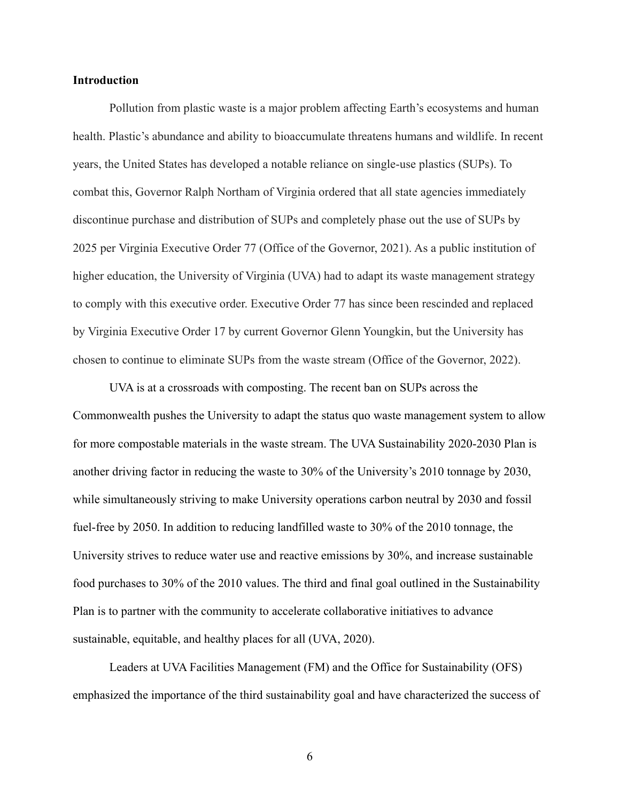### **Introduction**

Pollution from plastic waste is a major problem affecting Earth's ecosystems and human health. Plastic's abundance and ability to bioaccumulate threatens humans and wildlife. In recent years, the United States has developed a notable reliance on single-use plastics (SUPs). To combat this, Governor Ralph Northam of Virginia ordered that all state agencies immediately discontinue purchase and distribution of SUPs and completely phase out the use of SUPs by 2025 per Virginia Executive Order 77 (Office of the Governor, 2021). As a public institution of higher education, the University of Virginia (UVA) had to adapt its waste management strategy to comply with this executive order. Executive Order 77 has since been rescinded and replaced by Virginia Executive Order 17 by current Governor Glenn Youngkin, but the University has chosen to continue to eliminate SUPs from the waste stream (Office of the Governor, 2022).

UVA is at a crossroads with composting. The recent ban on SUPs across the Commonwealth pushes the University to adapt the status quo waste management system to allow for more compostable materials in the waste stream. The UVA Sustainability 2020-2030 Plan is another driving factor in reducing the waste to 30% of the University's 2010 tonnage by 2030, while simultaneously striving to make University operations carbon neutral by 2030 and fossil fuel-free by 2050. In addition to reducing landfilled waste to 30% of the 2010 tonnage, the University strives to reduce water use and reactive emissions by 30%, and increase sustainable food purchases to 30% of the 2010 values. The third and final goal outlined in the Sustainability Plan is to partner with the community to accelerate collaborative initiatives to advance sustainable, equitable, and healthy places for all (UVA, 2020).

Leaders at UVA Facilities Management (FM) and the Office for Sustainability (OFS) emphasized the importance of the third sustainability goal and have characterized the success of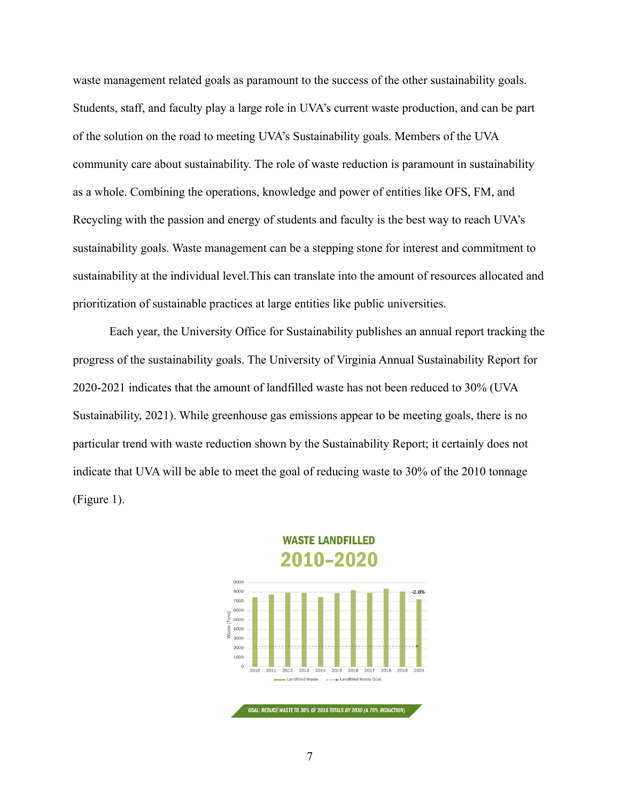waste management related goals as paramount to the success of the other sustainability goals. Students, staff, and faculty play a large role in UVA's current waste production, and can be part of the solution on the road to meeting UVA's Sustainability goals. Members of the UVA community care about sustainability. The role of waste reduction is paramount in sustainability as a whole. Combining the operations, knowledge and power of entities like OFS, FM, and Recycling with the passion and energy of students and faculty is the best way to reach UVA's sustainability goals. Waste management can be a stepping stone for interest and commitment to sustainability at the individual level.This can translate into the amount of resources allocated and prioritization of sustainable practices at large entities like public universities.

Each year, the University Office for Sustainability publishes an annual report tracking the progress of the sustainability goals. The University of Virginia Annual Sustainability Report for 2020-2021 indicates that the amount of landfilled waste has not been reduced to 30% (UVA Sustainability, 2021). While greenhouse gas emissions appear to be meeting goals, there is no particular trend with waste reduction shown by the Sustainability Report; it certainly does not indicate that UVA will be able to meet the goal of reducing waste to 30% of the 2010 tonnage (Figure 1).



**WASTE LANDFILLED** 2010–2020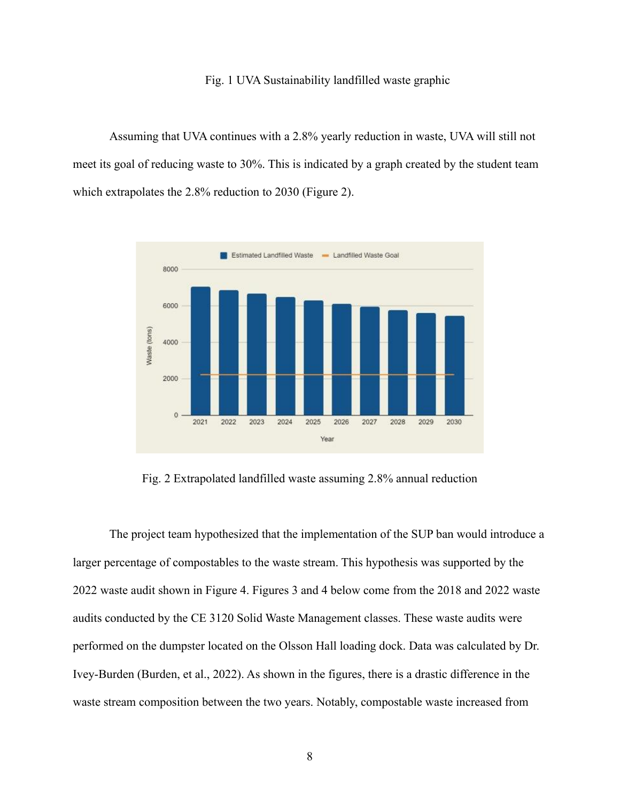### Fig. 1 UVA Sustainability landfilled waste graphic

Assuming that UVA continues with a 2.8% yearly reduction in waste, UVA will still not meet its goal of reducing waste to 30%. This is indicated by a graph created by the student team which extrapolates the 2.8% reduction to 2030 (Figure 2).



Fig. 2 Extrapolated landfilled waste assuming 2.8% annual reduction

The project team hypothesized that the implementation of the SUP ban would introduce a larger percentage of compostables to the waste stream. This hypothesis was supported by the 2022 waste audit shown in Figure 4. Figures 3 and 4 below come from the 2018 and 2022 waste audits conducted by the CE 3120 Solid Waste Management classes. These waste audits were performed on the dumpster located on the Olsson Hall loading dock. Data was calculated by Dr. Ivey-Burden (Burden, et al., 2022). As shown in the figures, there is a drastic difference in the waste stream composition between the two years. Notably, compostable waste increased from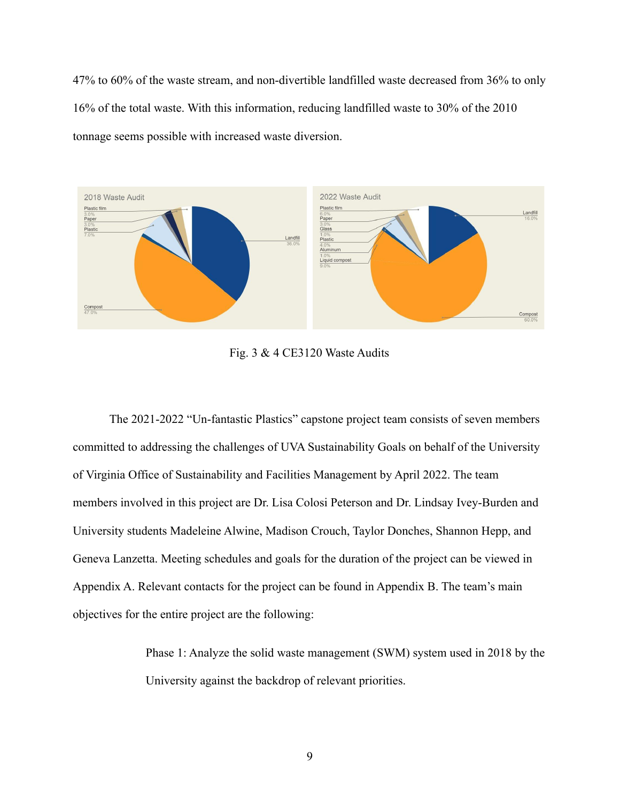47% to 60% of the waste stream, and non-divertible landfilled waste decreased from 36% to only 16% of the total waste. With this information, reducing landfilled waste to 30% of the 2010 tonnage seems possible with increased waste diversion.



Fig. 3 & 4 CE3120 Waste Audits

The 2021-2022 "Un-fantastic Plastics" capstone project team consists of seven members committed to addressing the challenges of UVA Sustainability Goals on behalf of the University of Virginia Office of Sustainability and Facilities Management by April 2022. The team members involved in this project are Dr. Lisa Colosi Peterson and Dr. Lindsay Ivey-Burden and University students Madeleine Alwine, Madison Crouch, Taylor Donches, Shannon Hepp, and Geneva Lanzetta. Meeting schedules and goals for the duration of the project can be viewed in Appendix A. Relevant contacts for the project can be found in Appendix B. The team's main objectives for the entire project are the following:

> Phase 1: Analyze the solid waste management (SWM) system used in 2018 by the University against the backdrop of relevant priorities.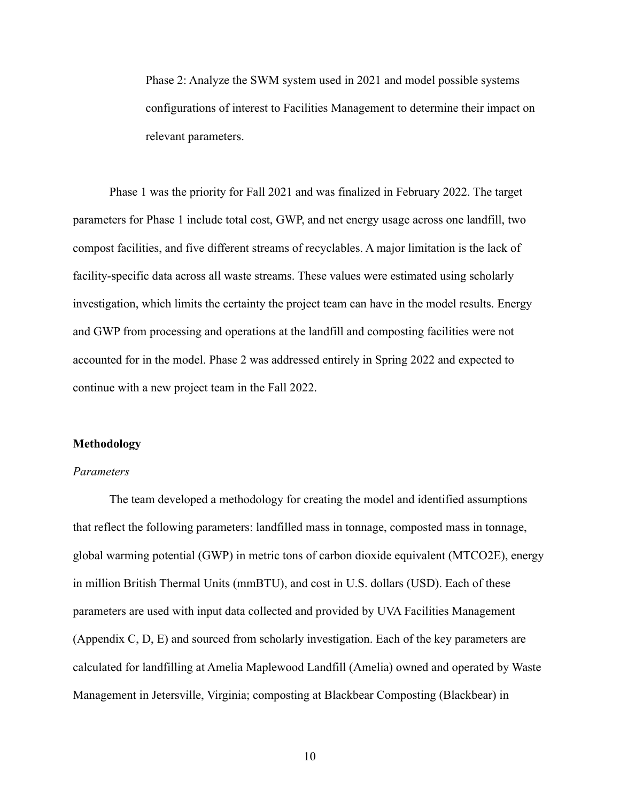Phase 2: Analyze the SWM system used in 2021 and model possible systems configurations of interest to Facilities Management to determine their impact on relevant parameters.

Phase 1 was the priority for Fall 2021 and was finalized in February 2022. The target parameters for Phase 1 include total cost, GWP, and net energy usage across one landfill, two compost facilities, and five different streams of recyclables. A major limitation is the lack of facility-specific data across all waste streams. These values were estimated using scholarly investigation, which limits the certainty the project team can have in the model results. Energy and GWP from processing and operations at the landfill and composting facilities were not accounted for in the model. Phase 2 was addressed entirely in Spring 2022 and expected to continue with a new project team in the Fall 2022.

#### **Methodology**

### *Parameters*

The team developed a methodology for creating the model and identified assumptions that reflect the following parameters: landfilled mass in tonnage, composted mass in tonnage, global warming potential (GWP) in metric tons of carbon dioxide equivalent (MTCO2E), energy in million British Thermal Units (mmBTU), and cost in U.S. dollars (USD). Each of these parameters are used with input data collected and provided by UVA Facilities Management (Appendix C, D, E) and sourced from scholarly investigation. Each of the key parameters are calculated for landfilling at Amelia Maplewood Landfill (Amelia) owned and operated by Waste Management in Jetersville, Virginia; composting at Blackbear Composting (Blackbear) in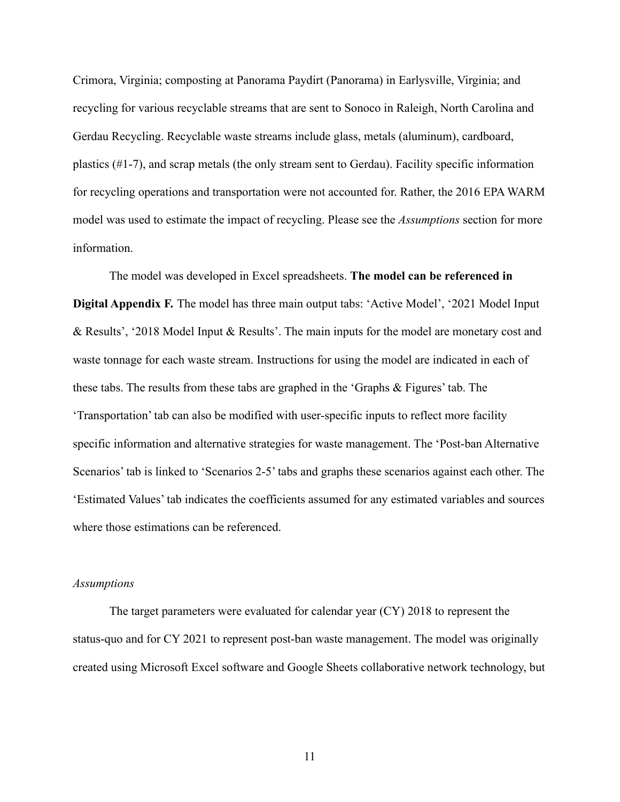Crimora, Virginia; composting at Panorama Paydirt (Panorama) in Earlysville, Virginia; and recycling for various recyclable streams that are sent to Sonoco in Raleigh, North Carolina and Gerdau Recycling. Recyclable waste streams include glass, metals (aluminum), cardboard, plastics (#1-7), and scrap metals (the only stream sent to Gerdau). Facility specific information for recycling operations and transportation were not accounted for. Rather, the 2016 EPA WARM model was used to estimate the impact of recycling. Please see the *Assumptions* section for more information.

The model was developed in Excel spreadsheets. **The model can be referenced in Digital Appendix F.** The model has three main output tabs: 'Active Model', '2021 Model Input & Results', '2018 Model Input & Results'. The main inputs for the model are monetary cost and waste tonnage for each waste stream. Instructions for using the model are indicated in each of these tabs. The results from these tabs are graphed in the 'Graphs & Figures' tab. The 'Transportation' tab can also be modified with user-specific inputs to reflect more facility specific information and alternative strategies for waste management. The 'Post-ban Alternative Scenarios' tab is linked to 'Scenarios 2-5' tabs and graphs these scenarios against each other. The 'Estimated Values' tab indicates the coefficients assumed for any estimated variables and sources where those estimations can be referenced.

#### *Assumptions*

The target parameters were evaluated for calendar year (CY) 2018 to represent the status-quo and for CY 2021 to represent post-ban waste management. The model was originally created using Microsoft Excel software and Google Sheets collaborative network technology, but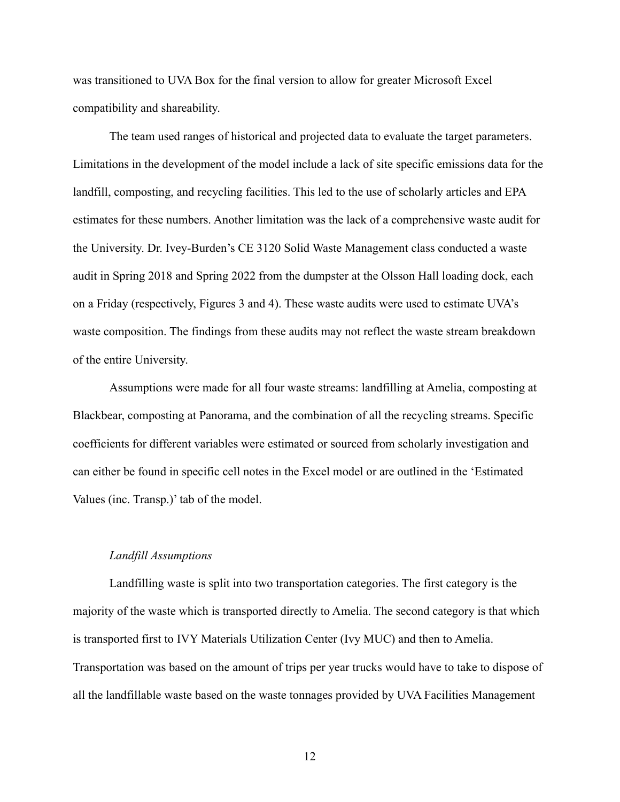was transitioned to UVA Box for the final version to allow for greater Microsoft Excel compatibility and shareability.

The team used ranges of historical and projected data to evaluate the target parameters. Limitations in the development of the model include a lack of site specific emissions data for the landfill, composting, and recycling facilities. This led to the use of scholarly articles and EPA estimates for these numbers. Another limitation was the lack of a comprehensive waste audit for the University. Dr. Ivey-Burden's CE 3120 Solid Waste Management class conducted a waste audit in Spring 2018 and Spring 2022 from the dumpster at the Olsson Hall loading dock, each on a Friday (respectively, Figures 3 and 4). These waste audits were used to estimate UVA's waste composition. The findings from these audits may not reflect the waste stream breakdown of the entire University.

Assumptions were made for all four waste streams: landfilling at Amelia, composting at Blackbear, composting at Panorama, and the combination of all the recycling streams. Specific coefficients for different variables were estimated or sourced from scholarly investigation and can either be found in specific cell notes in the Excel model or are outlined in the 'Estimated Values (inc. Transp.)' tab of the model.

#### *Landfill Assumptions*

Landfilling waste is split into two transportation categories. The first category is the majority of the waste which is transported directly to Amelia. The second category is that which is transported first to IVY Materials Utilization Center (Ivy MUC) and then to Amelia. Transportation was based on the amount of trips per year trucks would have to take to dispose of all the landfillable waste based on the waste tonnages provided by UVA Facilities Management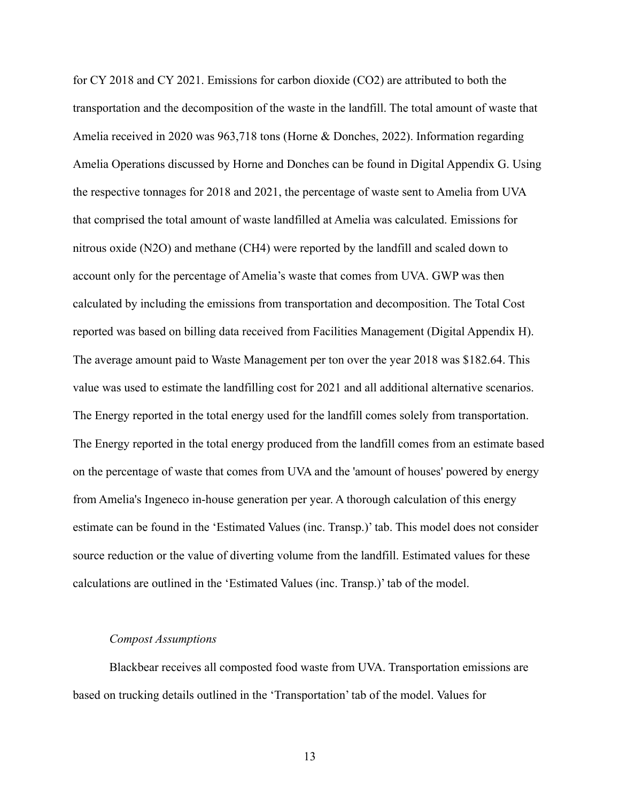for CY 2018 and CY 2021. Emissions for carbon dioxide (CO2) are attributed to both the transportation and the decomposition of the waste in the landfill. The total amount of waste that Amelia received in 2020 was 963,718 tons (Horne & Donches, 2022). Information regarding Amelia Operations discussed by Horne and Donches can be found in Digital Appendix G. Using the respective tonnages for 2018 and 2021, the percentage of waste sent to Amelia from UVA that comprised the total amount of waste landfilled at Amelia was calculated. Emissions for nitrous oxide (N2O) and methane (CH4) were reported by the landfill and scaled down to account only for the percentage of Amelia's waste that comes from UVA. GWP was then calculated by including the emissions from transportation and decomposition. The Total Cost reported was based on billing data received from Facilities Management (Digital Appendix H). The average amount paid to Waste Management per ton over the year 2018 was \$182.64. This value was used to estimate the landfilling cost for 2021 and all additional alternative scenarios. The Energy reported in the total energy used for the landfill comes solely from transportation. The Energy reported in the total energy produced from the landfill comes from an estimate based on the percentage of waste that comes from UVA and the 'amount of houses' powered by energy from Amelia's Ingeneco in-house generation per year. A thorough calculation of this energy estimate can be found in the 'Estimated Values (inc. Transp.)' tab. This model does not consider source reduction or the value of diverting volume from the landfill. Estimated values for these calculations are outlined in the 'Estimated Values (inc. Transp.)' tab of the model.

#### *Compost Assumptions*

Blackbear receives all composted food waste from UVA. Transportation emissions are based on trucking details outlined in the 'Transportation' tab of the model. Values for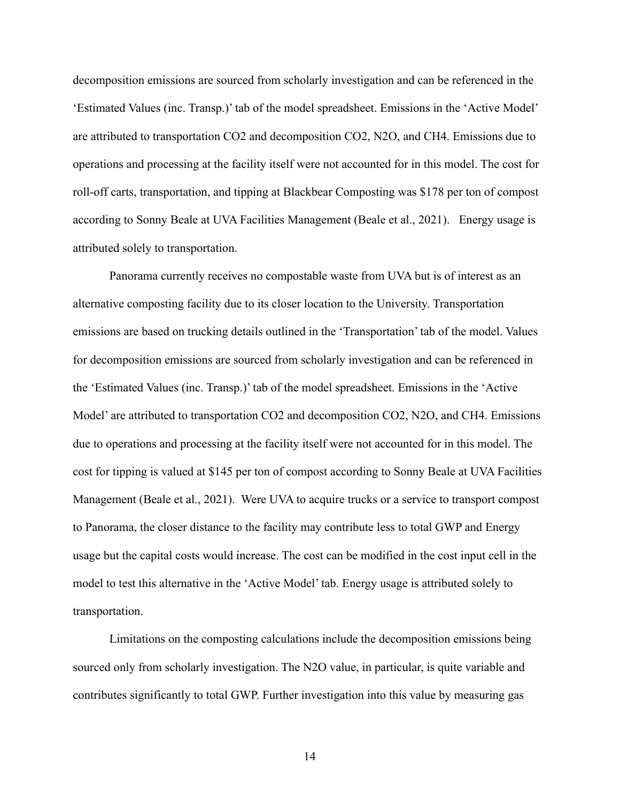decomposition emissions are sourced from scholarly investigation and can be referenced in the 'Estimated Values (inc. Transp.)' tab of the model spreadsheet. Emissions in the 'Active Model' are attributed to transportation CO2 and decomposition CO2, N2O, and CH4. Emissions due to operations and processing at the facility itself were not accounted for in this model. The cost for roll-off carts, transportation, and tipping at Blackbear Composting was \$178 per ton of compost according to Sonny Beale at UVA Facilities Management (Beale et al., 2021). Energy usage is attributed solely to transportation.

Panorama currently receives no compostable waste from UVA but is of interest as an alternative composting facility due to its closer location to the University. Transportation emissions are based on trucking details outlined in the 'Transportation' tab of the model. Values for decomposition emissions are sourced from scholarly investigation and can be referenced in the 'Estimated Values (inc. Transp.)' tab of the model spreadsheet. Emissions in the 'Active Model' are attributed to transportation CO2 and decomposition CO2, N2O, and CH4. Emissions due to operations and processing at the facility itself were not accounted for in this model. The cost for tipping is valued at \$145 per ton of compost according to Sonny Beale at UVA Facilities Management (Beale et al., 2021). Were UVA to acquire trucks or a service to transport compost to Panorama, the closer distance to the facility may contribute less to total GWP and Energy usage but the capital costs would increase. The cost can be modified in the cost input cell in the model to test this alternative in the 'Active Model' tab. Energy usage is attributed solely to transportation.

Limitations on the composting calculations include the decomposition emissions being sourced only from scholarly investigation. The N2O value, in particular, is quite variable and contributes significantly to total GWP. Further investigation into this value by measuring gas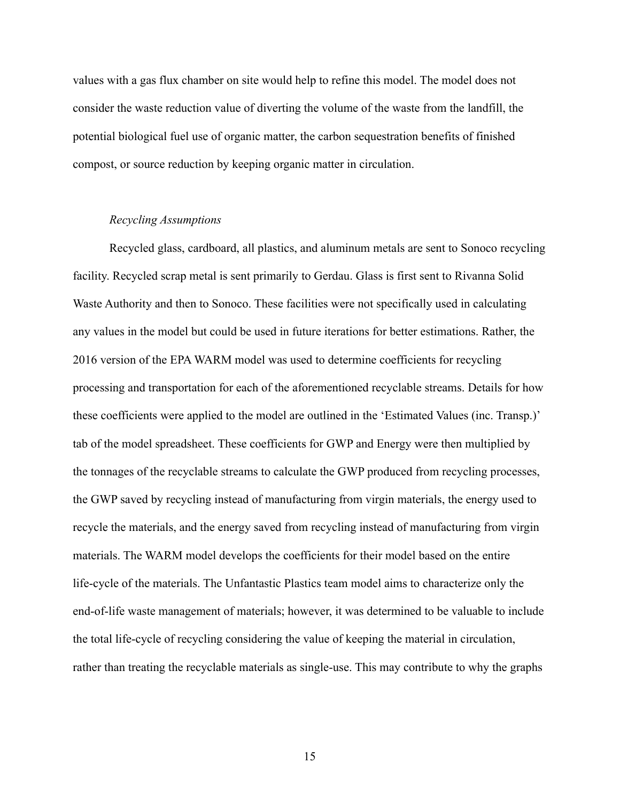values with a gas flux chamber on site would help to refine this model. The model does not consider the waste reduction value of diverting the volume of the waste from the landfill, the potential biological fuel use of organic matter, the carbon sequestration benefits of finished compost, or source reduction by keeping organic matter in circulation.

# *Recycling Assumptions*

Recycled glass, cardboard, all plastics, and aluminum metals are sent to Sonoco recycling facility. Recycled scrap metal is sent primarily to Gerdau. Glass is first sent to Rivanna Solid Waste Authority and then to Sonoco. These facilities were not specifically used in calculating any values in the model but could be used in future iterations for better estimations. Rather, the 2016 version of the EPA WARM model was used to determine coefficients for recycling processing and transportation for each of the aforementioned recyclable streams. Details for how these coefficients were applied to the model are outlined in the 'Estimated Values (inc. Transp.)' tab of the model spreadsheet. These coefficients for GWP and Energy were then multiplied by the tonnages of the recyclable streams to calculate the GWP produced from recycling processes, the GWP saved by recycling instead of manufacturing from virgin materials, the energy used to recycle the materials, and the energy saved from recycling instead of manufacturing from virgin materials. The WARM model develops the coefficients for their model based on the entire life-cycle of the materials. The Unfantastic Plastics team model aims to characterize only the end-of-life waste management of materials; however, it was determined to be valuable to include the total life-cycle of recycling considering the value of keeping the material in circulation, rather than treating the recyclable materials as single-use. This may contribute to why the graphs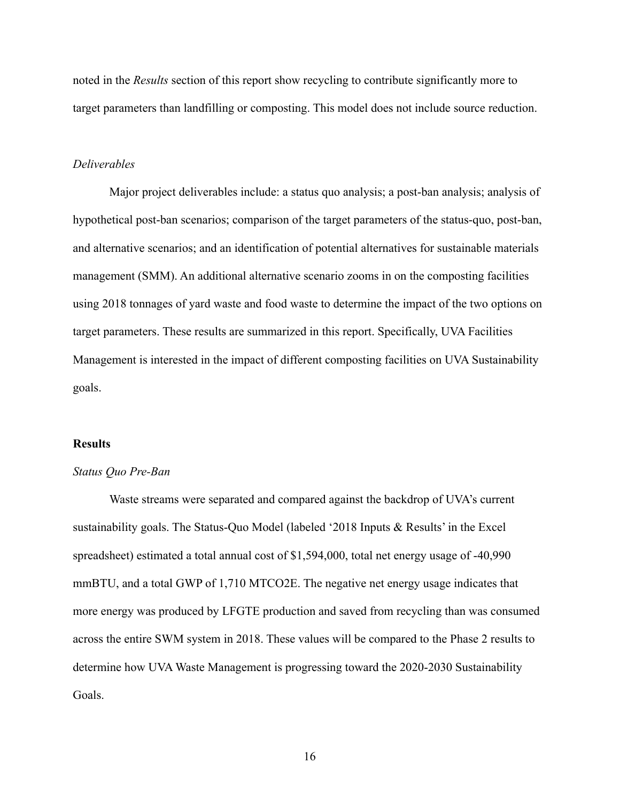noted in the *Results* section of this report show recycling to contribute significantly more to target parameters than landfilling or composting. This model does not include source reduction.

### *Deliverables*

Major project deliverables include: a status quo analysis; a post-ban analysis; analysis of hypothetical post-ban scenarios; comparison of the target parameters of the status-quo, post-ban, and alternative scenarios; and an identification of potential alternatives for sustainable materials management (SMM). An additional alternative scenario zooms in on the composting facilities using 2018 tonnages of yard waste and food waste to determine the impact of the two options on target parameters. These results are summarized in this report. Specifically, UVA Facilities Management is interested in the impact of different composting facilities on UVA Sustainability goals.

### **Results**

## *Status Quo Pre-Ban*

Waste streams were separated and compared against the backdrop of UVA's current sustainability goals. The Status-Quo Model (labeled '2018 Inputs & Results' in the Excel spreadsheet) estimated a total annual cost of \$1,594,000, total net energy usage of -40,990 mmBTU, and a total GWP of 1,710 MTCO2E. The negative net energy usage indicates that more energy was produced by LFGTE production and saved from recycling than was consumed across the entire SWM system in 2018. These values will be compared to the Phase 2 results to determine how UVA Waste Management is progressing toward the 2020-2030 Sustainability Goals.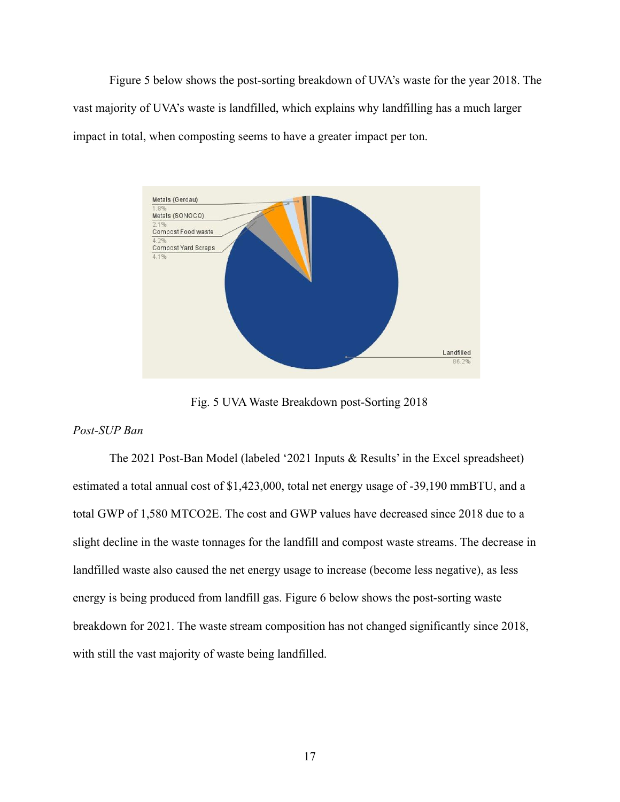Figure 5 below shows the post-sorting breakdown of UVA's waste for the year 2018. The vast majority of UVA's waste is landfilled, which explains why landfilling has a much larger impact in total, when composting seems to have a greater impact per ton.



Fig. 5 UVA Waste Breakdown post-Sorting 2018

# *Post-SUP Ban*

The 2021 Post-Ban Model (labeled '2021 Inputs & Results' in the Excel spreadsheet) estimated a total annual cost of \$1,423,000, total net energy usage of -39,190 mmBTU, and a total GWP of 1,580 MTCO2E. The cost and GWP values have decreased since 2018 due to a slight decline in the waste tonnages for the landfill and compost waste streams. The decrease in landfilled waste also caused the net energy usage to increase (become less negative), as less energy is being produced from landfill gas. Figure 6 below shows the post-sorting waste breakdown for 2021. The waste stream composition has not changed significantly since 2018, with still the vast majority of waste being landfilled.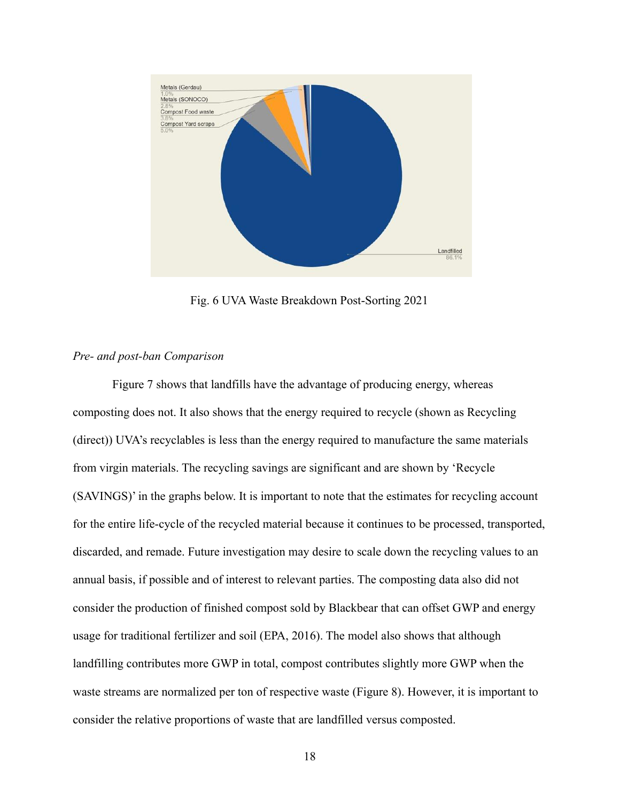

Fig. 6 UVA Waste Breakdown Post-Sorting 2021

# *Pre- and post-ban Comparison*

Figure 7 shows that landfills have the advantage of producing energy, whereas composting does not. It also shows that the energy required to recycle (shown as Recycling (direct)) UVA's recyclables is less than the energy required to manufacture the same materials from virgin materials. The recycling savings are significant and are shown by 'Recycle (SAVINGS)' in the graphs below. It is important to note that the estimates for recycling account for the entire life-cycle of the recycled material because it continues to be processed, transported, discarded, and remade. Future investigation may desire to scale down the recycling values to an annual basis, if possible and of interest to relevant parties. The composting data also did not consider the production of finished compost sold by Blackbear that can offset GWP and energy usage for traditional fertilizer and soil (EPA, 2016). The model also shows that although landfilling contributes more GWP in total, compost contributes slightly more GWP when the waste streams are normalized per ton of respective waste (Figure 8). However, it is important to consider the relative proportions of waste that are landfilled versus composted.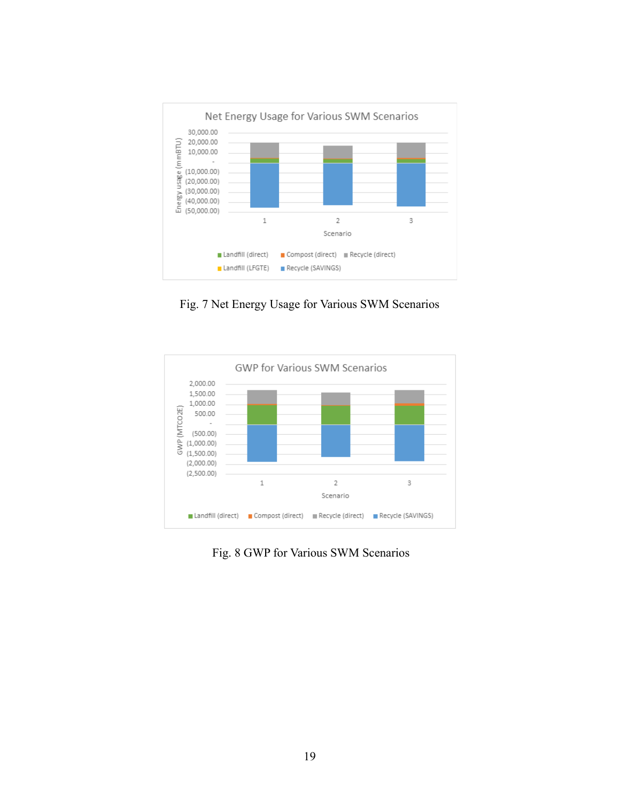

Fig. 7 Net Energy Usage for Various SWM Scenarios



Fig. 8 GWP for Various SWM Scenarios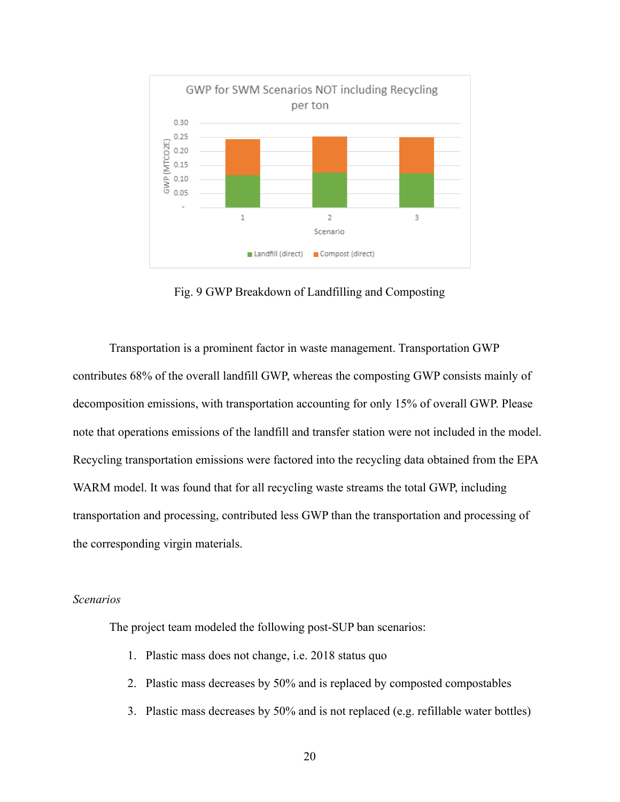

Fig. 9 GWP Breakdown of Landfilling and Composting

Transportation is a prominent factor in waste management. Transportation GWP contributes 68% of the overall landfill GWP, whereas the composting GWP consists mainly of decomposition emissions, with transportation accounting for only 15% of overall GWP. Please note that operations emissions of the landfill and transfer station were not included in the model. Recycling transportation emissions were factored into the recycling data obtained from the EPA WARM model. It was found that for all recycling waste streams the total GWP, including transportation and processing, contributed less GWP than the transportation and processing of the corresponding virgin materials.

### *Scenarios*

The project team modeled the following post-SUP ban scenarios:

- 1. Plastic mass does not change, i.e. 2018 status quo
- 2. Plastic mass decreases by 50% and is replaced by composted compostables
- 3. Plastic mass decreases by 50% and is not replaced (e.g. refillable water bottles)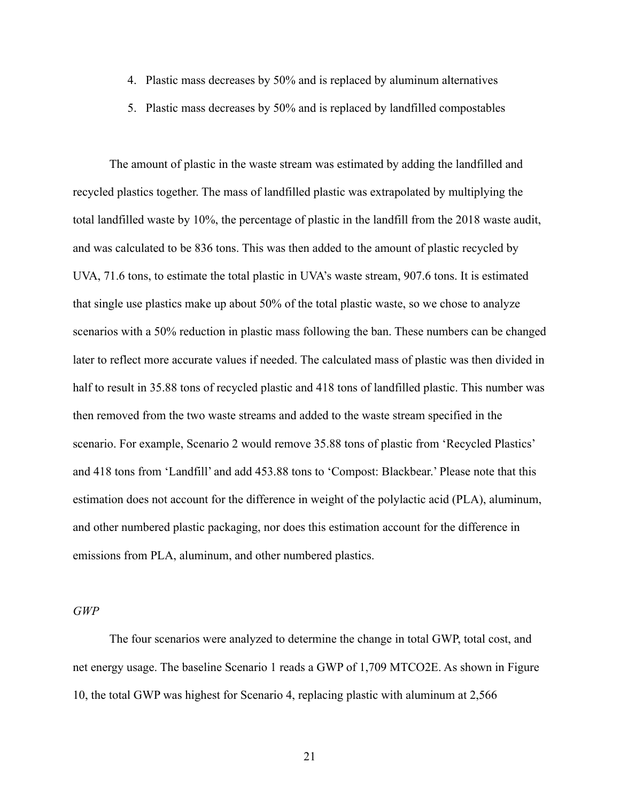- 4. Plastic mass decreases by 50% and is replaced by aluminum alternatives
- 5. Plastic mass decreases by 50% and is replaced by landfilled compostables

The amount of plastic in the waste stream was estimated by adding the landfilled and recycled plastics together. The mass of landfilled plastic was extrapolated by multiplying the total landfilled waste by 10%, the percentage of plastic in the landfill from the 2018 waste audit, and was calculated to be 836 tons. This was then added to the amount of plastic recycled by UVA, 71.6 tons, to estimate the total plastic in UVA's waste stream, 907.6 tons. It is estimated that single use plastics make up about 50% of the total plastic waste, so we chose to analyze scenarios with a 50% reduction in plastic mass following the ban. These numbers can be changed later to reflect more accurate values if needed. The calculated mass of plastic was then divided in half to result in 35.88 tons of recycled plastic and 418 tons of landfilled plastic. This number was then removed from the two waste streams and added to the waste stream specified in the scenario. For example, Scenario 2 would remove 35.88 tons of plastic from 'Recycled Plastics' and 418 tons from 'Landfill' and add 453.88 tons to 'Compost: Blackbear.' Please note that this estimation does not account for the difference in weight of the polylactic acid (PLA), aluminum, and other numbered plastic packaging, nor does this estimation account for the difference in emissions from PLA, aluminum, and other numbered plastics.

*GWP*

The four scenarios were analyzed to determine the change in total GWP, total cost, and net energy usage. The baseline Scenario 1 reads a GWP of 1,709 MTCO2E. As shown in Figure 10, the total GWP was highest for Scenario 4, replacing plastic with aluminum at 2,566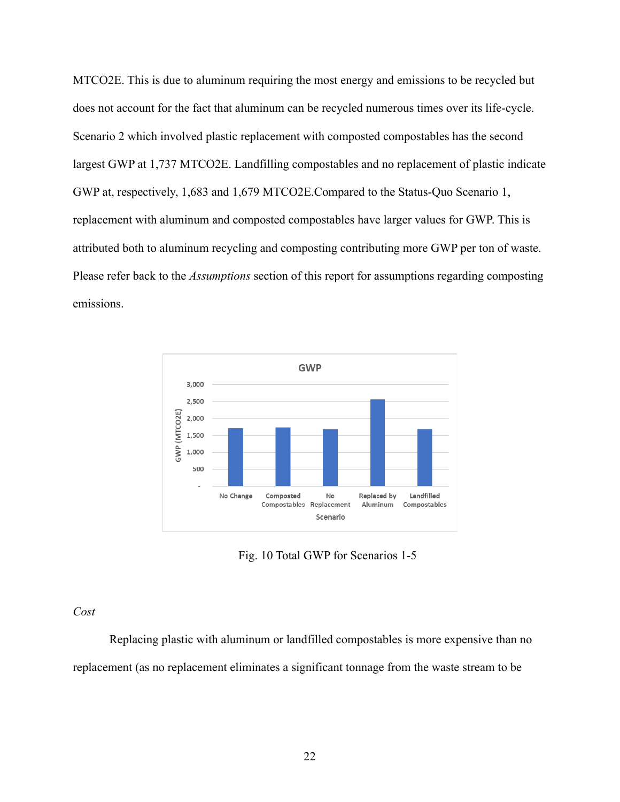MTCO2E. This is due to aluminum requiring the most energy and emissions to be recycled but does not account for the fact that aluminum can be recycled numerous times over its life-cycle. Scenario 2 which involved plastic replacement with composted compostables has the second largest GWP at 1,737 MTCO2E. Landfilling compostables and no replacement of plastic indicate GWP at, respectively, 1,683 and 1,679 MTCO2E.Compared to the Status-Quo Scenario 1, replacement with aluminum and composted compostables have larger values for GWP. This is attributed both to aluminum recycling and composting contributing more GWP per ton of waste. Please refer back to the *Assumptions* section of this report for assumptions regarding composting emissions.



Fig. 10 Total GWP for Scenarios 1-5

# *Cost*

Replacing plastic with aluminum or landfilled compostables is more expensive than no replacement (as no replacement eliminates a significant tonnage from the waste stream to be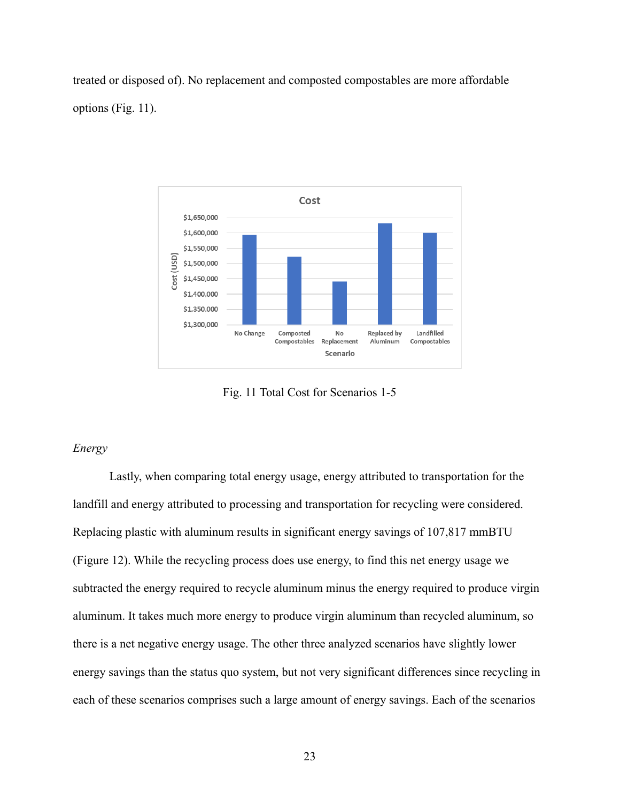treated or disposed of). No replacement and composted compostables are more affordable options (Fig. 11).



Fig. 11 Total Cost for Scenarios 1-5

# *Energy*

Lastly, when comparing total energy usage, energy attributed to transportation for the landfill and energy attributed to processing and transportation for recycling were considered. Replacing plastic with aluminum results in significant energy savings of 107,817 mmBTU (Figure 12). While the recycling process does use energy, to find this net energy usage we subtracted the energy required to recycle aluminum minus the energy required to produce virgin aluminum. It takes much more energy to produce virgin aluminum than recycled aluminum, so there is a net negative energy usage. The other three analyzed scenarios have slightly lower energy savings than the status quo system, but not very significant differences since recycling in each of these scenarios comprises such a large amount of energy savings. Each of the scenarios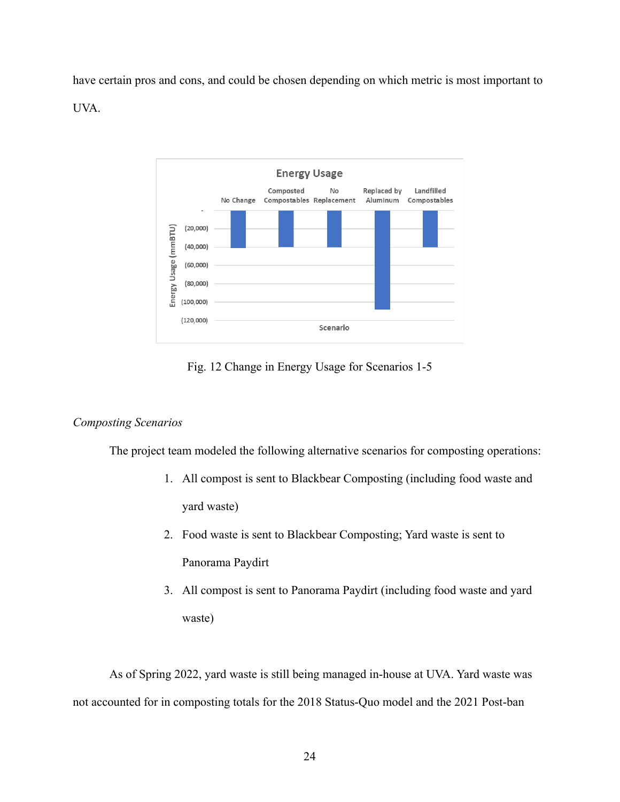have certain pros and cons, and could be chosen depending on which metric is most important to UVA.



Fig. 12 Change in Energy Usage for Scenarios 1-5

# *Composting Scenarios*

The project team modeled the following alternative scenarios for composting operations:

- 1. All compost is sent to Blackbear Composting (including food waste and yard waste)
- 2. Food waste is sent to Blackbear Composting; Yard waste is sent to Panorama Paydirt
- 3. All compost is sent to Panorama Paydirt (including food waste and yard waste)

As of Spring 2022, yard waste is still being managed in-house at UVA. Yard waste was not accounted for in composting totals for the 2018 Status-Quo model and the 2021 Post-ban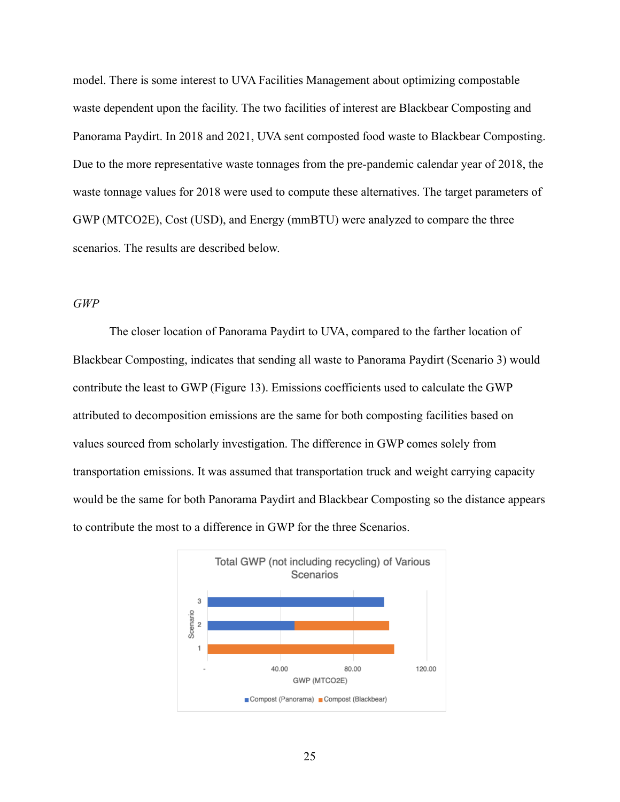model. There is some interest to UVA Facilities Management about optimizing compostable waste dependent upon the facility. The two facilities of interest are Blackbear Composting and Panorama Paydirt. In 2018 and 2021, UVA sent composted food waste to Blackbear Composting. Due to the more representative waste tonnages from the pre-pandemic calendar year of 2018, the waste tonnage values for 2018 were used to compute these alternatives. The target parameters of GWP (MTCO2E), Cost (USD), and Energy (mmBTU) were analyzed to compare the three scenarios. The results are described below.

### *GWP*

The closer location of Panorama Paydirt to UVA, compared to the farther location of Blackbear Composting, indicates that sending all waste to Panorama Paydirt (Scenario 3) would contribute the least to GWP (Figure 13). Emissions coefficients used to calculate the GWP attributed to decomposition emissions are the same for both composting facilities based on values sourced from scholarly investigation. The difference in GWP comes solely from transportation emissions. It was assumed that transportation truck and weight carrying capacity would be the same for both Panorama Paydirt and Blackbear Composting so the distance appears to contribute the most to a difference in GWP for the three Scenarios.

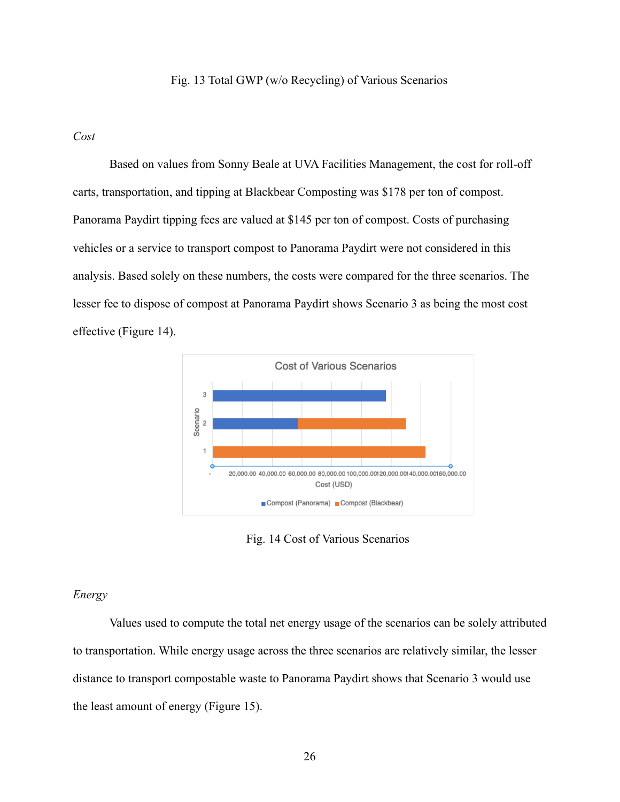### Fig. 13 Total GWP (w/o Recycling) of Various Scenarios

# *Cost*

Based on values from Sonny Beale at UVA Facilities Management, the cost for roll-off carts, transportation, and tipping at Blackbear Composting was \$178 per ton of compost. Panorama Paydirt tipping fees are valued at \$145 per ton of compost. Costs of purchasing vehicles or a service to transport compost to Panorama Paydirt were not considered in this analysis. Based solely on these numbers, the costs were compared for the three scenarios. The lesser fee to dispose of compost at Panorama Paydirt shows Scenario 3 as being the most cost effective (Figure 14).



Fig. 14 Cost of Various Scenarios

### *Energy*

Values used to compute the total net energy usage of the scenarios can be solely attributed to transportation. While energy usage across the three scenarios are relatively similar, the lesser distance to transport compostable waste to Panorama Paydirt shows that Scenario 3 would use the least amount of energy (Figure 15).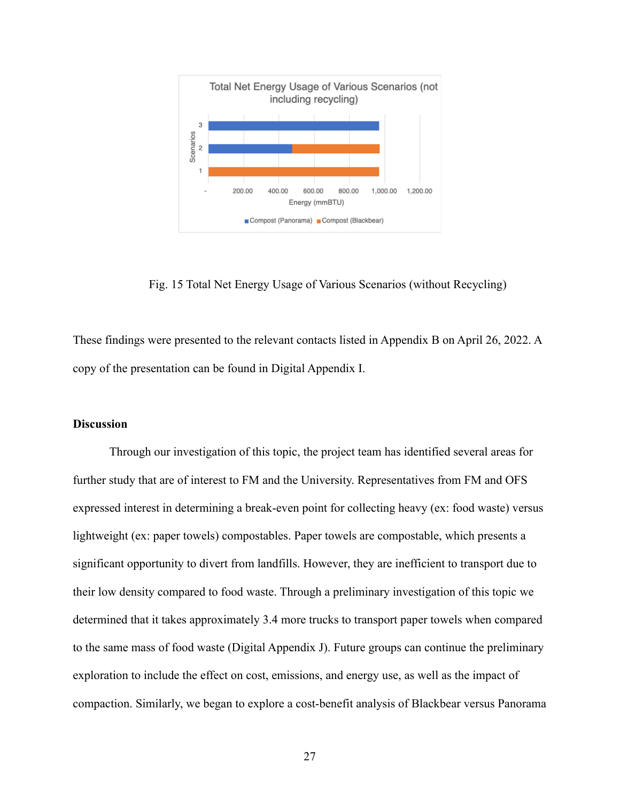

Fig. 15 Total Net Energy Usage of Various Scenarios (without Recycling)

These findings were presented to the relevant contacts listed in Appendix B on April 26, 2022. A copy of the presentation can be found in Digital Appendix I.

# **Discussion**

Through our investigation of this topic, the project team has identified several areas for further study that are of interest to FM and the University. Representatives from FM and OFS expressed interest in determining a break-even point for collecting heavy (ex: food waste) versus lightweight (ex: paper towels) compostables. Paper towels are compostable, which presents a significant opportunity to divert from landfills. However, they are inefficient to transport due to their low density compared to food waste. Through a preliminary investigation of this topic we determined that it takes approximately 3.4 more trucks to transport paper towels when compared to the same mass of food waste (Digital Appendix J). Future groups can continue the preliminary exploration to include the effect on cost, emissions, and energy use, as well as the impact of compaction. Similarly, we began to explore a cost-benefit analysis of Blackbear versus Panorama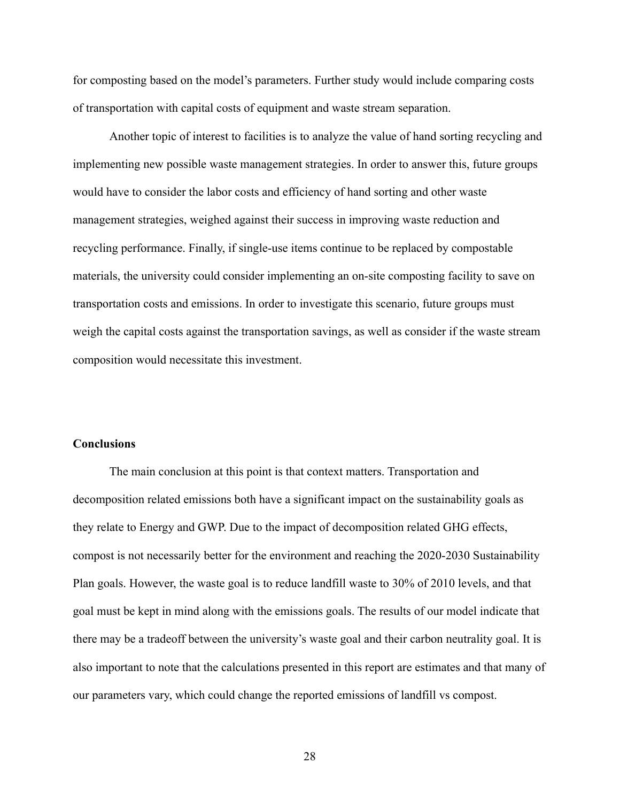for composting based on the model's parameters. Further study would include comparing costs of transportation with capital costs of equipment and waste stream separation.

Another topic of interest to facilities is to analyze the value of hand sorting recycling and implementing new possible waste management strategies. In order to answer this, future groups would have to consider the labor costs and efficiency of hand sorting and other waste management strategies, weighed against their success in improving waste reduction and recycling performance. Finally, if single-use items continue to be replaced by compostable materials, the university could consider implementing an on-site composting facility to save on transportation costs and emissions. In order to investigate this scenario, future groups must weigh the capital costs against the transportation savings, as well as consider if the waste stream composition would necessitate this investment.

### **Conclusions**

The main conclusion at this point is that context matters. Transportation and decomposition related emissions both have a significant impact on the sustainability goals as they relate to Energy and GWP. Due to the impact of decomposition related GHG effects, compost is not necessarily better for the environment and reaching the 2020-2030 Sustainability Plan goals. However, the waste goal is to reduce landfill waste to 30% of 2010 levels, and that goal must be kept in mind along with the emissions goals. The results of our model indicate that there may be a tradeoff between the university's waste goal and their carbon neutrality goal. It is also important to note that the calculations presented in this report are estimates and that many of our parameters vary, which could change the reported emissions of landfill vs compost.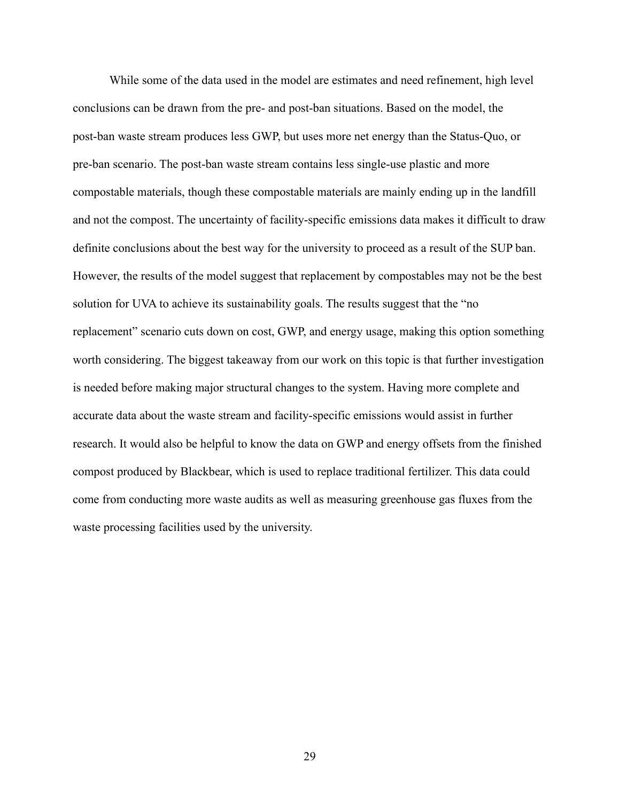While some of the data used in the model are estimates and need refinement, high level conclusions can be drawn from the pre- and post-ban situations. Based on the model, the post-ban waste stream produces less GWP, but uses more net energy than the Status-Quo, or pre-ban scenario. The post-ban waste stream contains less single-use plastic and more compostable materials, though these compostable materials are mainly ending up in the landfill and not the compost. The uncertainty of facility-specific emissions data makes it difficult to draw definite conclusions about the best way for the university to proceed as a result of the SUP ban. However, the results of the model suggest that replacement by compostables may not be the best solution for UVA to achieve its sustainability goals. The results suggest that the "no replacement" scenario cuts down on cost, GWP, and energy usage, making this option something worth considering. The biggest takeaway from our work on this topic is that further investigation is needed before making major structural changes to the system. Having more complete and accurate data about the waste stream and facility-specific emissions would assist in further research. It would also be helpful to know the data on GWP and energy offsets from the finished compost produced by Blackbear, which is used to replace traditional fertilizer. This data could come from conducting more waste audits as well as measuring greenhouse gas fluxes from the waste processing facilities used by the university.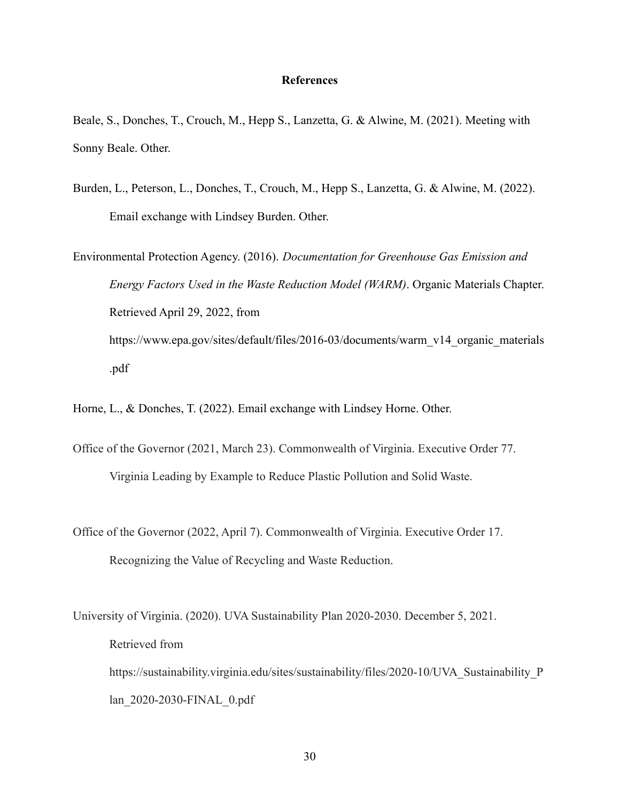### **References**

Beale, S., Donches, T., Crouch, M., Hepp S., Lanzetta, G. & Alwine, M. (2021). Meeting with Sonny Beale. Other.

Burden, L., Peterson, L., Donches, T., Crouch, M., Hepp S., Lanzetta, G. & Alwine, M. (2022). Email exchange with Lindsey Burden. Other.

Environmental Protection Agency. (2016). *Documentation for Greenhouse Gas Emission and Energy Factors Used in the Waste Reduction Model (WARM)*. Organic Materials Chapter. Retrieved April 29, 2022, from https://www.epa.gov/sites/default/files/2016-03/documents/warm\_v14\_organic\_materials .pdf

Horne, L., & Donches, T. (2022). Email exchange with Lindsey Horne. Other.

- Office of the Governor (2021, March 23). Commonwealth of Virginia. Executive Order 77. Virginia Leading by Example to Reduce Plastic Pollution and Solid Waste.
- Office of the Governor (2022, April 7). Commonwealth of Virginia. Executive Order 17. Recognizing the Value of Recycling and Waste Reduction.

University of Virginia. (2020). UVA Sustainability Plan 2020-2030. December 5, 2021. Retrieved from https://sustainability.virginia.edu/sites/sustainability/files/2020-10/UVA\_Sustainability\_P lan\_2020-2030-FINAL\_0.pdf